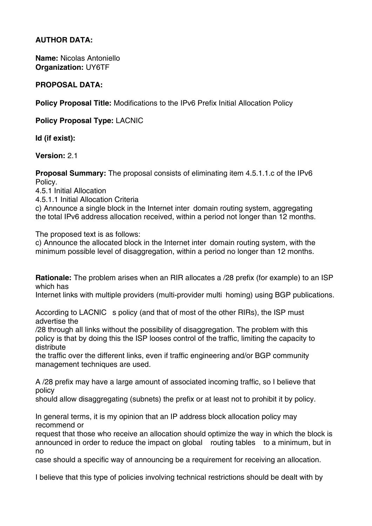## **AUTHOR DATA:**

**Name:** Nicolas Antoniello **Organization:** UY6TF

## **PROPOSAL DATA:**

**Policy Proposal Title:** Modifications to the IPv6 Prefix Initial Allocation Policy

**Policy Proposal Type:** LACNIC

**Id (if exist):**

**Version:** 2.1

**Proposal Summary:** The proposal consists of eliminating item 4.5.1.1.c of the IPv6 Policy.

4.5.1 Initial Allocation

4.5.1.1 Initial Allocation Criteria

c) Announce a single block in the Internet inter domain routing system, aggregating the total IPv6 address allocation received, within a period not longer than 12 months.

The proposed text is as follows:

c) Announce the allocated block in the Internet inter domain routing system, with the minimum possible level of disaggregation, within a period no longer than 12 months.

**Rationale:** The problem arises when an RIR allocates a /28 prefix (for example) to an ISP which has

Internet links with multiple providers (multi-provider multi homing) using BGP publications.

According to LACNIC s policy (and that of most of the other RIRs), the ISP must advertise the

/28 through all links without the possibility of disaggregation. The problem with this policy is that by doing this the ISP looses control of the traffic, limiting the capacity to distribute

the traffic over the different links, even if traffic engineering and/or BGP community management techniques are used.

A /28 prefix may have a large amount of associated incoming traffic, so I believe that policy

should allow disaggregating (subnets) the prefix or at least not to prohibit it by policy.

In general terms, it is my opinion that an IP address block allocation policy may recommend or

request that those who receive an allocation should optimize the way in which the block is announced in order to reduce the impact on global routing tables to a minimum, but in no

case should a specific way of announcing be a requirement for receiving an allocation.

I believe that this type of policies involving technical restrictions should be dealt with by